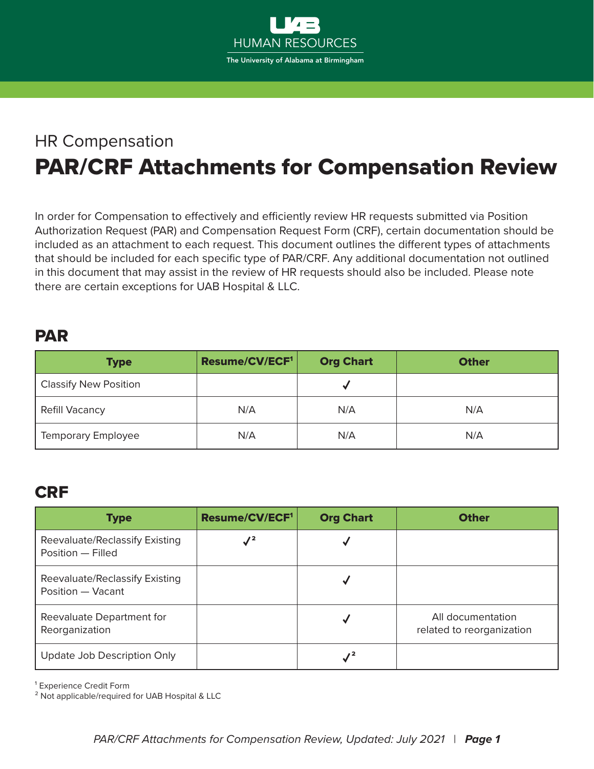

## HR Compensation PAR/CRF Attachments for Compensation Review

In order for Compensation to effectively and efficiently review HR requests submitted via Position Authorization Request (PAR) and Compensation Request Form (CRF), certain documentation should be included as an attachment to each request. This document outlines the different types of attachments that should be included for each specific type of PAR/CRF. Any additional documentation not outlined in this document that may assist in the review of HR requests should also be included. Please note there are certain exceptions for UAB Hospital & LLC.

## PAR

| <b>Type</b>                  | Resume/CV/ECF <sup>1</sup> | <b>Org Chart</b> | <b>Other</b> |
|------------------------------|----------------------------|------------------|--------------|
| <b>Classify New Position</b> |                            |                  |              |
| <b>Refill Vacancy</b>        | N/A                        | N/A              | N/A          |
| <b>Temporary Employee</b>    | N/A                        | N/A              | N/A          |

## CRF

| <b>Type</b>                                         | Resume/CV/ECF <sup>1</sup> | <b>Org Chart</b> | <b>Other</b>                                   |
|-----------------------------------------------------|----------------------------|------------------|------------------------------------------------|
| Reevaluate/Reclassify Existing<br>Position - Filled | $\sqrt{2}$                 |                  |                                                |
| Reevaluate/Reclassify Existing<br>Position - Vacant |                            |                  |                                                |
| Reevaluate Department for<br>Reorganization         |                            |                  | All documentation<br>related to reorganization |
| Update Job Description Only                         |                            |                  |                                                |

<sup>1</sup> Experience Credit Form

² Not applicable/required for UAB Hospital & LLC